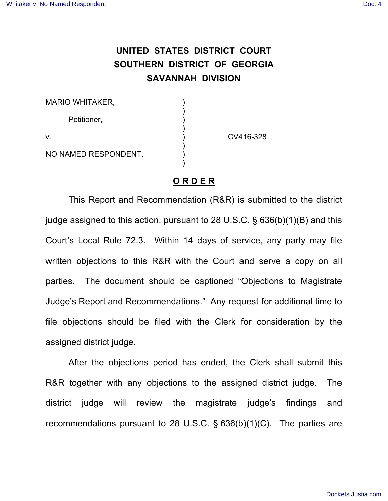## **UNITED STATES DISTRICT COURT SOUTHERN DISTRICT OF GEORGIA SAVANNAH DIVISION**

| <b>MARIO WHITAKER,</b> |           |
|------------------------|-----------|
| Petitioner,            |           |
| V.                     | CV416-328 |
| NO NAMED RESPONDENT,   |           |

## **O R D E R**

This Report and Recommendation (R&R) is submitted to the district judge assigned to this action, pursuant to 28 U.S.C. § 636(b)(1)(B) and this Court's Local Rule 72.3. Within 14 days of service, any party may file written objections to this R&R with the Court and serve a copy on all parties. The document should be captioned "Objections to Magistrate Judge's Report and Recommendations." Any request for additional time to file objections should be filed with the Clerk for consideration by the assigned district judge.

After the objections period has ended, the Clerk shall submit this R&R together with any objections to the assigned district judge. The district judge will review the magistrate judge's findings and recommendations pursuant to 28 U.S.C. § 636(b)(1)(C). The parties are